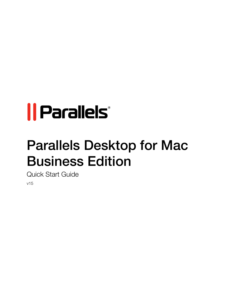# *|| Parallels*

## Parallels Desktop for Mac Business Edition

Quick Start Guide v15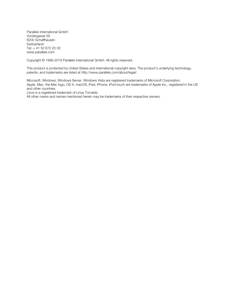Parallels International GmbH Vordergasse 59 8200 Schaffhausen **Switzerland** Tel: + 41 52 672 20 30 www.parallels.com

Copyright © 1999-2019 Parallels International GmbH. All rights reserved.

This product is protected by United States and international copyright laws. The product's underlying technology, patents, and trademarks are listed at http://www.parallels.com/about/legal/.

Microsoft, Windows, Windows Server, Windows Vista are registered trademarks of Microsoft Corporation. Apple, Mac, the Mac logo, OS X, macOS, iPad, iPhone, iPod touch are trademarks of Apple Inc., registered in the US and other countries.

Linux is a registered trademark of Linus Torvalds.

All other marks and names mentioned herein may be trademarks of their respective owners.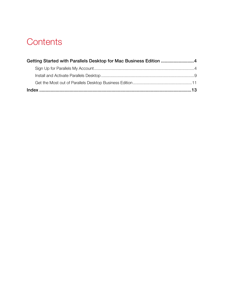## **Contents**

| Getting Started with Parallels Desktop for Mac Business Edition 4 |  |
|-------------------------------------------------------------------|--|
|                                                                   |  |
|                                                                   |  |
|                                                                   |  |
|                                                                   |  |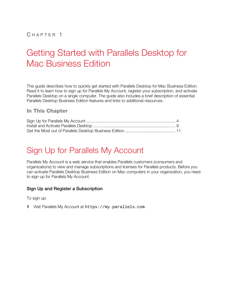## <span id="page-3-2"></span><span id="page-3-0"></span>C HAPTER 1

## Getting Started with Parallels Desktop for Mac Business Edition

This guide describes how to quickly get started with Parallels Desktop for Mac Business Edition. Read it to learn how to sign up for Parallels My Account, register your subscription, and activate Parallels Desktop on a single computer. The guide also includes a brief description of essential Parallels Desktop Business Edition features and links to additional resources.

### In This Chapter

## <span id="page-3-1"></span>Sign Up for Parallels My Account

Parallels My Account is a web service that enables Parallels customers (consumers and organizations) to view and manage subscriptions and licenses for Parallels products. Before you can activate Parallels Desktop Business Edition on Mac computers in your organization, you need to sign up for Parallels My Account.

#### Sign Up and Register a Subscription

To sign up:

1 Visit Parallels My Account at https://my.parallels.com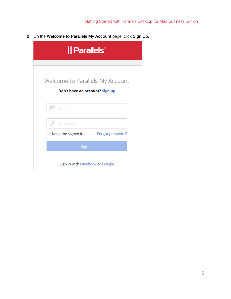2 On the Welcome to Parallels My Account page, click Sign Up.

| Parallels®                            |  |  |  |
|---------------------------------------|--|--|--|
|                                       |  |  |  |
| Welcome to Parallels My Account       |  |  |  |
| Don't have an account? Sign up        |  |  |  |
| Email<br>$\scriptstyle\sim$           |  |  |  |
| Password                              |  |  |  |
| Keep me signed in<br>Forgot password? |  |  |  |
| Sign In                               |  |  |  |
| Sign in with Facebook or Google       |  |  |  |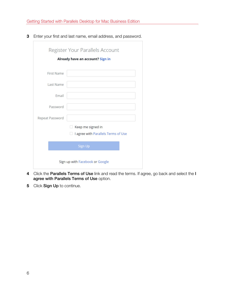**3** Enter your first and last name, email address, and password.

|                                  | Register Your Parallels Account     |  |  |
|----------------------------------|-------------------------------------|--|--|
| Already have an account? Sign in |                                     |  |  |
|                                  |                                     |  |  |
| <b>First Name</b>                |                                     |  |  |
| <b>Last Name</b>                 |                                     |  |  |
| Email                            |                                     |  |  |
| Password                         |                                     |  |  |
| Repeat Password                  |                                     |  |  |
|                                  | Keep me signed in                   |  |  |
|                                  | I agree with Parallels Terms of Use |  |  |
|                                  | <b>Sign Up</b>                      |  |  |
| Sign up with Facebook or Google  |                                     |  |  |

- 4 Click the Parallels Terms of Use link and read the terms. If agree, go back and select the I agree with Parallels Terms of Use option.
- 5 Click Sign Up to continue.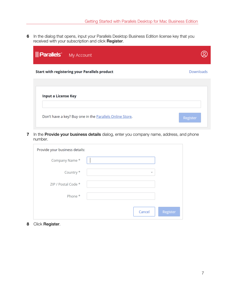6 In the dialog that opens, input your Parallels Desktop Business Edition license key that you received with your subscription and click Register.

| <b>   Parallels</b> My Account                           |                  |
|----------------------------------------------------------|------------------|
| Start with registering your Parallels product            | <b>Downloads</b> |
| <b>Input a License Key</b>                               |                  |
| Don't have a key? Buy one in the Parallels Online Store. | Register         |

7 In the Provide your business details dialog, enter you company name, address, and phone number.

| Provide your business details: |              |          |
|--------------------------------|--------------|----------|
| Company Name*                  |              |          |
| Country *                      | $\mathbf{v}$ |          |
| ZIP / Postal Code *            |              |          |
| Phone *                        |              |          |
|                                | Cancel       | Register |

8 Click Register.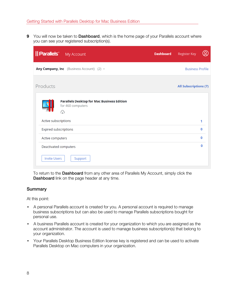9 You will now be taken to Dashboard, which is the home page of your Parallels account where you can see your registered subscription(s).

| <b>Parallels</b> My Account                                                 | $\mathbf{Q}$<br><b>Register Key</b><br><b>Dashboard</b> |
|-----------------------------------------------------------------------------|---------------------------------------------------------|
| Any Company, Inc (Business Account) (2) v                                   | <b>Business Profile</b>                                 |
| Products                                                                    | <b>All Subscriptions (7)</b>                            |
| <b>Parallels Desktop for Mac Business Edition</b><br>for 460 computers<br>⊕ |                                                         |
| Active subscriptions                                                        | 1                                                       |
| Expired subscriptions                                                       | 0                                                       |
| Active computers                                                            | O                                                       |
| Deactivated computers                                                       | O                                                       |
| <b>Invite Users</b><br>Support                                              |                                                         |

To return to the Dashboard from any other area of Parallels My Account, simply click the Dashboard link on the page header at any time.

#### **Summary**

At this point:

- A personal Parallels account is created for you. A personal account is required to manage business subscriptions but can also be used to manage Parallels subscriptions bought for personal use.
- A business Parallels account is created for your organization to which you are assigned as the account administrator. The account is used to manage business subscription(s) that belong to your organization.
- Your Parallels Desktop Business Edition license key is registered and can be used to activate Parallels Desktop on Mac computers in your organization.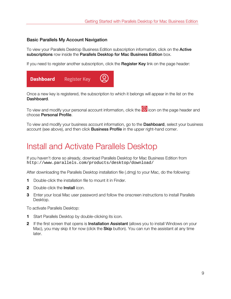#### <span id="page-8-1"></span>Basic Parallels My Account Navigation

To view your Parallels Desktop Business Edition subscription information, click on the **Active** subscriptions row inside the Parallels Desktop for Mac Business Edition box.

If you need to register another subscription, click the Register Key link on the page header:



Once a new key is registered, the subscription to which it belongs will appear in the list on the Dashboard.

To view and modify your personal account information, click the  $\bigotimes$  icon on the page header and choose Personal Profile.

To view and modify your business account information, go to the **Dashboard**, select your business account (see above), and then click **Business Profile** in the upper right-hand corner.

## <span id="page-8-0"></span>Install and Activate Parallels Desktop

If you haven't done so already, download Parallels Desktop for Mac Business Edition from http://www.parallels.com/products/desktop/download/

After downloading the Parallels Desktop installation file (.dmg) to your Mac, do the following:

- 1 Double-click the installation file to mount it in Finder.
- 2 Double-click the **Install** icon.
- **3** Enter your local Mac user password and follow the onscreen instructions to install Parallels Desktop.

To activate Parallels Desktop:

- 1 Start Parallels Desktop by double-clicking its icon.
- 2 If the first screen that opens is Installation Assistant (allows you to install Windows on your Mac), you may skip it for now (click the **Skip** button). You can run the assistant at any time later.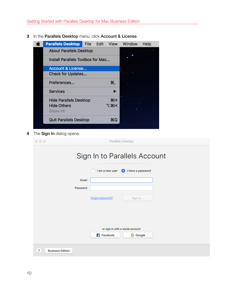- Ć **Parallels Desktop** File Edit View Window Help **About Parallels Desktop** ٠ Install Parallels Toolbox for Mac... Account & License... Check for Updates... Preferences... ₩, **Services** ▶ **Hide Parallels Desktop H H**&J **Hide Others** Show All **Quit Parallels Desktop HQ**
- 3 In the Parallels Desktop menu, click Account & License.

4 The Sign In dialog opens:

| $\circ \circ \circ$               |                     |                  | Parallels Desktop |  |  |
|-----------------------------------|---------------------|------------------|-------------------|--|--|
| Sign In to Parallels Account      |                     |                  |                   |  |  |
|                                   |                     | I am a new user  | I have a password |  |  |
|                                   | Email:<br>Password: |                  |                   |  |  |
|                                   |                     | Forgot password? | Sign in           |  |  |
|                                   |                     |                  |                   |  |  |
| or sign in with a social account: |                     |                  |                   |  |  |
|                                   |                     | <b>Facebook</b>  | <b>G</b> Google   |  |  |
| ?<br><b>Business Edition</b>      |                     |                  |                   |  |  |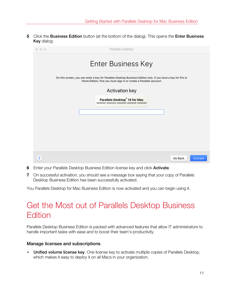<span id="page-10-1"></span>5 Click the Business Edition button (at the bottom of the dialog). This opens the Enter Business Key dialog:



- 6 Enter your Parallels Desktop Business Edition license key and click Activate.
- 7 On successful activation, you should see a message box saying that your copy of Parallels Desktop Business Edition has been successfully activated.

<span id="page-10-0"></span>You Parallels Desktop for Mac Business Edition is now activated and you can begin using it.

## Get the Most out of Parallels Desktop Business **Edition**

Parallels Desktop Business Edition is packed with advanced features that allow IT administrators to handle important tasks with ease and to boost their team's productivity.

#### Manage licenses and subscriptions

**Unified volume license key**. One license key to activate multiple copies of Parallels Desktop, which makes it easy to deploy it on all Macs in your organization.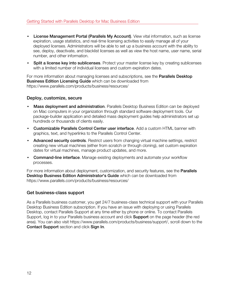- License Management Portal (Parallels My Account). View vital information, such as license expiration, usage statistics, and real-time licensing activities to easily manage all of your deployed licenses. Administrators will be able to set up a business account with the ability to see, deploy, deactivate, and blacklist licenses as well as view the host name, user name, serial number, and other information.
- Split a license key into sublicenses. Protect your master license key by creating sublicenses with a limited number of individual licenses and custom expiration dates.

For more information about managing licenses and subscriptions, see the **Parallels Desktop** Business Edition Licensing Guide which can be downloaded from https://www.parallels.com/products/business/resources/

#### Deploy, customize, secure

- Mass deployment and administration. Parallels Desktop Business Edition can be deployed on Mac computers in your organization through standard software deployment tools. Our package-builder application and detailed mass deployment guides help administrators set up hundreds or thousands of clients easily.
- Customizable Parallels Control Center user interface. Add a custom HTML banner with graphics, text, and hyperlinks to the Parallels Control Center.
- Advanced security controls. Restrict users from changing virtual machine settings, restrict creating new virtual machines (either from scratch or through cloning), set custom expiration dates for virtual machines, manage product updates, and more.
- Command-line interface. Manage existing deployments and automate your workflow processes.

For more information about deployment, customization, and security features, see the **Parallels** Desktop Business Edition Administrator's Guide which can be downloaded from https://www.parallels.com/products/business/resources/

#### Get business-class support

As a Parallels business customer, you get 24/7 business-class technical support with your Parallels Desktop Business Edition subscription. If you have an issue with deploying or using Parallels Desktop, contact Parallels Support at any time either by phone or online. To contact Parallels Support, log in to your Parallels business account and click **Support** on the page header (the red area). You can also visit https://www.parallels.com/products/business/support/, scroll down to the Contact Support section and click Sign In.